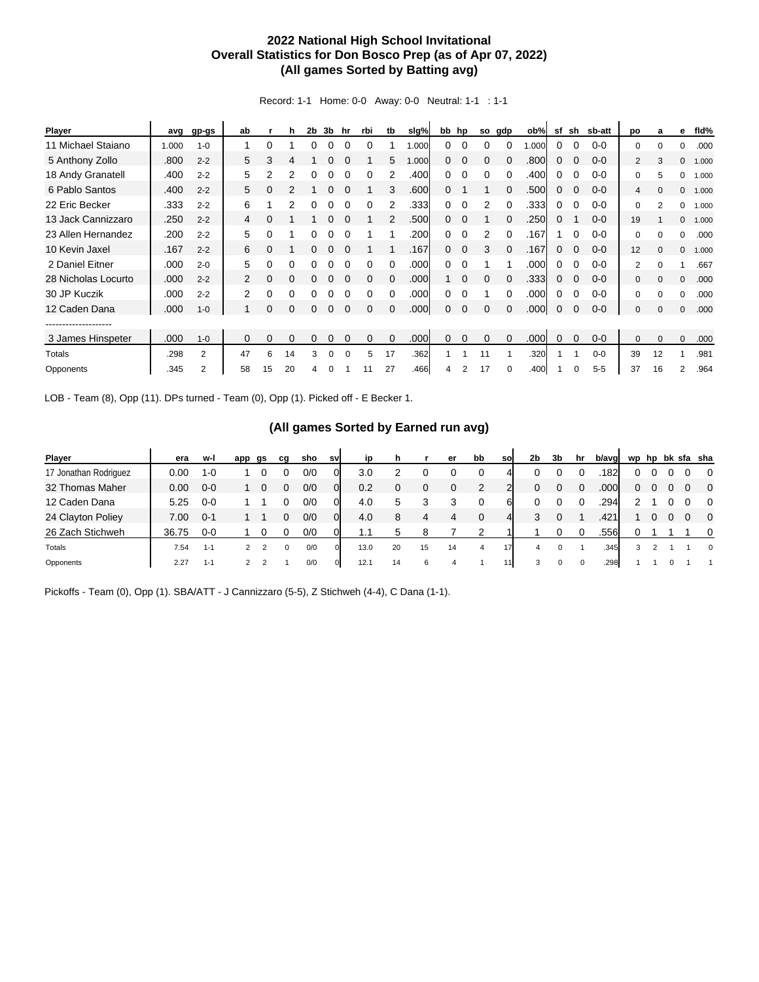## **2022 National High School Invitational Overall Statistics for Don Bosco Prep (as of Apr 07, 2022) (All games Sorted by Batting avg)**

Record: 1-1 Home: 0-0 Away: 0-0 Neutral: 1-1 : 1-1

| <b>Player</b>       | avg   | gp-gs   | ab             |    | h        | 2b | 3b       | hr       | rbi      | tb       | slg%  |   | bb hp          | so       | gdp      | ob%   | sf       | sh          | sb-att  | po           | a        | е        | fld%  |
|---------------------|-------|---------|----------------|----|----------|----|----------|----------|----------|----------|-------|---|----------------|----------|----------|-------|----------|-------------|---------|--------------|----------|----------|-------|
| 11 Michael Staiano  | 1.000 | $1 - 0$ |                | 0  |          |    |          |          |          |          | 1.000 | 0 | $\Omega$       |          |          | 1.000 | 0        | $\Omega$    | $0 - 0$ | 0            | U        | $\Omega$ | .000  |
| 5 Anthony Zollo     | .800  | $2 - 2$ | 5              | 3  | 4        |    |          |          |          | 5        | 1.000 | 0 | $\overline{0}$ | 0        |          | .800  | 0        | $\Omega$    | $0 - 0$ | 2            | 3        | 0        | 1.000 |
| 18 Andy Granatell   | .400  | $2 - 2$ | 5              | 2  | 2        | 0  | 0        |          | 0        |          | .400  | 0 | 0              | $\Omega$ | 0        | .400  | 0        | $\Omega$    | $0 - 0$ | 0            | 5        | 0        | 1.000 |
| 6 Pablo Santos      | .400  | $2 - 2$ | 5              | 0  | 2        |    | 0        | $\Omega$ |          | 3        | .600  | 0 |                |          | $\Omega$ | .500  | $\Omega$ | $\Omega$    | $0 - 0$ | 4            | $\Omega$ | 0        | 1.000 |
| 22 Eric Becker      | .333  | $2 - 2$ | 6              |    | 2        |    |          |          | 0        | 2        | .333  | 0 |                | 2        | $\Omega$ | .333  | 0        |             | $0 - 0$ | 0            | 2        | 0        | 1.000 |
| 13 Jack Cannizzaro  | .250  | $2 - 2$ | 4              | 0  |          |    | 0        |          |          |          | .500  | 0 | $\Omega$       |          |          | .250  | $\Omega$ |             | $0 - 0$ | 19           |          | $\Omega$ | 1.000 |
| 23 Allen Hernandez  | .200  | $2 - 2$ | 5              | 0  |          |    |          |          |          |          | .200  | 0 | $\Omega$       | 2        | $\Omega$ | .167  |          | $\Omega$    | $0 - 0$ | $\Omega$     | $\Omega$ | 0        | .000  |
| 10 Kevin Jaxel      | .167  | $2 - 2$ | 6              | 0  |          | 0  | 0        |          |          |          | .167  | 0 | $\Omega$       | 3        | $\Omega$ | .167  | 0        | $\Omega$    | $0 - 0$ | 12           | $\Omega$ | 0        | 1.000 |
| 2 Daniel Eitner     | .000  | $2 - 0$ | 5              | 0  | 0        | 0  | 0        | $\Omega$ | 0        | $\Omega$ | .000  | 0 | $\Omega$       |          |          | .000  | 0        | 0           | $0 - 0$ | 2            | $\Omega$ | 1        | .667  |
| 28 Nicholas Locurto | .000  | $2 - 2$ | 2              | 0  | 0        |    | 0        | $\Omega$ | $\Omega$ | $\Omega$ | .000  |   | $\Omega$       | $\Omega$ | $\Omega$ | .333  | 0        | $\Omega$    | $0 - 0$ | $\mathbf{0}$ | $\Omega$ | $\Omega$ | .000  |
| 30 JP Kuczik        | .000  | $2 - 2$ | $\overline{2}$ | 0  | $\Omega$ |    |          |          |          |          | .000  | 0 |                |          |          | .000  | 0        |             | $0 - 0$ | 0            | 0        | 0        | .000  |
| 12 Caden Dana       | .000  | $1 - 0$ |                | 0  | 0        | 0  | 0        | $\Omega$ | $\Omega$ | $\Omega$ | .000  | 0 | $\Omega$       | $\Omega$ | $\Omega$ | .000  | 0        | $\mathbf 0$ | $0 - 0$ | $\mathbf{0}$ | $\Omega$ | $\Omega$ | .000  |
| -----------------   |       |         |                |    |          |    |          |          |          |          |       |   |                |          |          |       |          |             |         |              |          |          |       |
| 3 James Hinspeter   | .000  | $1 - 0$ | 0              | 0  | $\Omega$ | 0  |          | 0        | $\Omega$ |          | .000  | 0 | $\Omega$       | $\Omega$ | $\Omega$ | .000  | 0        | $\Omega$    | $0-0$   | $\mathbf{0}$ | $\Omega$ | 0        | .000  |
| Totals              | .298  | 2       | 47             | 6  | 14       | 3  | 0        | $\Omega$ | 5        | 17       | .362  | 1 |                | 11       |          | .320  |          |             | $0 - 0$ | 39           | 12       |          | .981  |
| Opponents           | .345  | 2       | 58             | 15 | 20       | 4  | $\Omega$ |          |          | 27       | .466  | 4 | 2              | 17       |          | .400  |          |             | $5 - 5$ | 37           | 16       | 2        | .964  |

LOB - Team (8), Opp (11). DPs turned - Team (0), Opp (1). Picked off - E Becker 1.

## **(All games Sorted by Earned run avg)**

| Player                | era   | w-l     | app | gs | cq | sho | sv          | ip   | h  |    | er | bb             | so             | 2b | 3b | hr       | b/avg | wp           | hp |  | bk sfa sha |
|-----------------------|-------|---------|-----|----|----|-----|-------------|------|----|----|----|----------------|----------------|----|----|----------|-------|--------------|----|--|------------|
| 17 Jonathan Rodriguez | 0.00  | 1-0     |     |    |    | 0/0 | 0           | 3.0  |    |    |    |                |                |    |    |          | .182  | $\mathbf{0}$ |    |  | $\Omega$   |
| 32 Thomas Maher       | 0.00  | $0 - 0$ |     |    | 0  | 0/0 | 01          | 0.2  | 0  | 0  | 0  |                |                | 0  | 0  | $\Omega$ | .000  | 0            |    |  | $\Omega$   |
| 12 Caden Dana         | 5.25  | $0 - 0$ |     |    |    | 0/0 | 0           | 4.0  | 5  | 3  |    |                | 61             |    |    |          | .294  |              |    |  | $\Omega$   |
| 24 Clayton Poliey     | 7.00  | $0 - 1$ |     |    |    | 0/0 | 01          | 4.0  | 8  | 4  | 4  |                | $\overline{4}$ | 3  | 0  |          | .421  |              |    |  | $\Omega$   |
| 26 Zach Stichweh      | 36.75 | $0 - 0$ |     |    |    | 0/0 |             | 1.1  | 5  | 8  |    |                |                |    |    |          | .556  | 0            |    |  | $\Omega$   |
| Totals                | 7.54  | $1 - 1$ |     |    | 0  | 0/0 |             | 13.0 | 20 | 15 | 14 | $\overline{a}$ | 17             | 4  |    |          | .345  | 3            |    |  | $\Omega$   |
| Opponents             | 2.27  | $1 - 1$ |     |    |    | 0/0 | $\mathbf 0$ | 12.1 | 14 | 6  | 4  |                | 11             | 3  |    | 0        | .298  |              |    |  |            |

Pickoffs - Team (0), Opp (1). SBA/ATT - J Cannizzaro (5-5), Z Stichweh (4-4), C Dana (1-1).